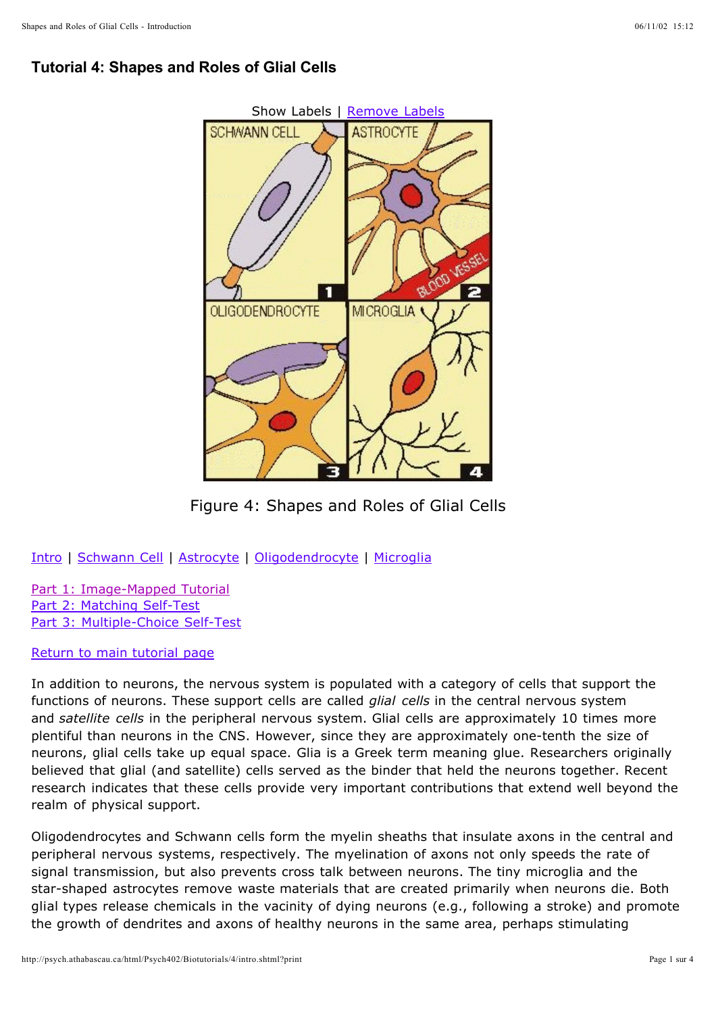# **Tutorial 4: Shapes and Roles of Glial Cells**



Figure 4: Shapes and Roles of Glial Cells

Intro | Schwann Cell | Astrocyte | Oligodendrocyte | Microglia

Part 1: Image-Mapped Tutorial Part 2: Matching Self-Test Part 3: Multiple-Choice Self-Test

Return to main tutorial page

In addition to neurons, the nervous system is populated with a category of cells that support the functions of neurons. These support cells are called *glial cells* in the central nervous system and satellite cells in the peripheral nervous system. Glial cells are approximately 10 times more plentiful than neurons in the CNS. However, since they are approximately one-tenth the size of neurons, glial cells take up equal space. Glia is a Greek term meaning glue. Researchers originally believed that glial (and satellite) cells served as the binder that held the neurons together. Recent research indicates that these cells provide very important contributions that extend well beyond the realm of physical support.

Oligodendrocytes and Schwann cells form the myelin sheaths that insulate axons in the central and peripheral nervous systems, respectively. The myelination of axons not only speeds the rate of signal transmission, but also prevents cross talk between neurons. The tiny microglia and the star-shaped astrocytes remove waste materials that are created primarily when neurons die. Both glial types release chemicals in the vacinity of dying neurons (e.g., following a stroke) and promote the growth of dendrites and axons of healthy neurons in the same area, perhaps stimulating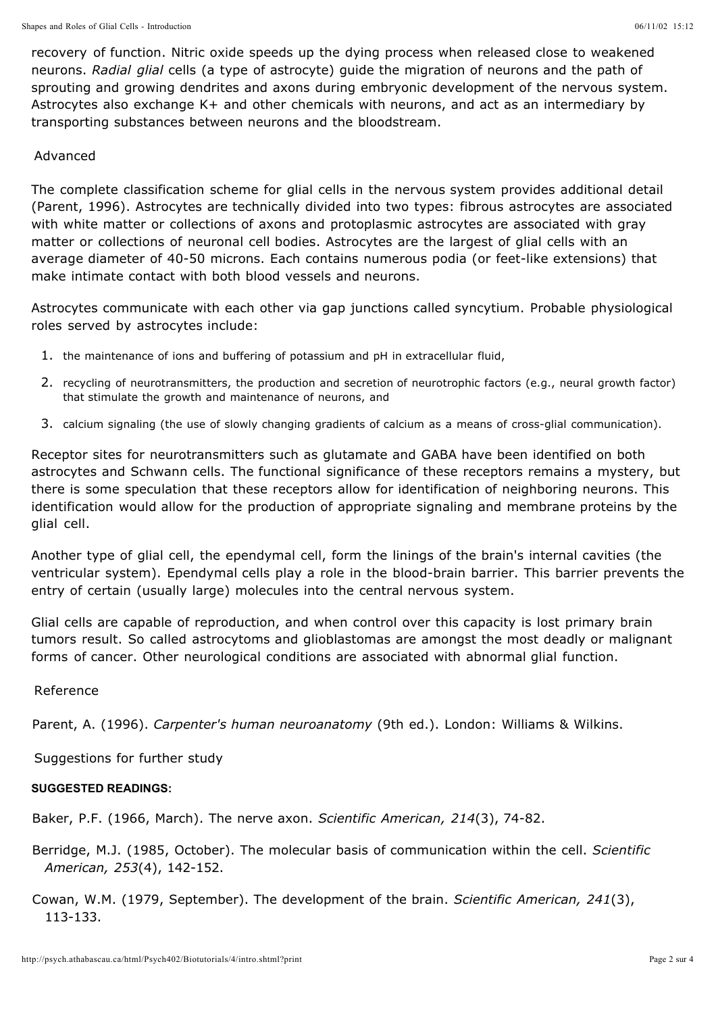recovery of function. Nitric oxide speeds up the dying process when released close to weakened neurons. Radial glial cells (a type of astrocyte) guide the migration of neurons and the path of sprouting and growing dendrites and axons during embryonic development of the nervous system. Astrocytes also exchange K+ and other chemicals with neurons, and act as an intermediary by transporting substances between neurons and the bloodstream.

## Advanced

The complete classification scheme for glial cells in the nervous system provides additional detail (Parent, 1996). Astrocytes are technically divided into two types: fibrous astrocytes are associated with white matter or collections of axons and protoplasmic astrocytes are associated with gray matter or collections of neuronal cell bodies. Astrocytes are the largest of glial cells with an average diameter of 40-50 microns. Each contains numerous podia (or feet-like extensions) that make intimate contact with both blood vessels and neurons.

Astrocytes communicate with each other via gap junctions called syncytium. Probable physiological roles served by astrocytes include:

- 1. the maintenance of ions and buffering of potassium and pH in extracellular fluid,
- 2. recycling of neurotransmitters, the production and secretion of neurotrophic factors (e.g., neural growth factor) that stimulate the growth and maintenance of neurons, and
- 3. calcium signaling (the use of slowly changing gradients of calcium as a means of cross-glial communication).

Receptor sites for neurotransmitters such as glutamate and GABA have been identified on both astrocytes and Schwann cells. The functional significance of these receptors remains a mystery, but there is some speculation that these receptors allow for identification of neighboring neurons. This identification would allow for the production of appropriate signaling and membrane proteins by the glial cell.

Another type of glial cell, the ependymal cell, form the linings of the brain's internal cavities (the ventricular system). Ependymal cells play a role in the blood-brain barrier. This barrier prevents the entry of certain (usually large) molecules into the central nervous system.

Glial cells are capable of reproduction, and when control over this capacity is lost primary brain tumors result. So called astrocytoms and glioblastomas are amongst the most deadly or malignant forms of cancer. Other neurological conditions are associated with abnormal glial function.

## Reference

Parent, A. (1996). *Carpenter's human neuroanatomy* (9th ed.). London: Williams & Wilkins.

Suggestions for further study

### **SUGGESTED READINGS:**

Baker, P.F. (1966, March). The nerve axon. *Scientific American, 214*(3), 74-82.

Berridge, M.J. (1985, October). The molecular basis of communication within the cell. *Scientific*  (4), 142-152. *American, 253*

Cowan, W.M. (1979, September). The development of the brain. *Scientific American, 241*(3), 113-133.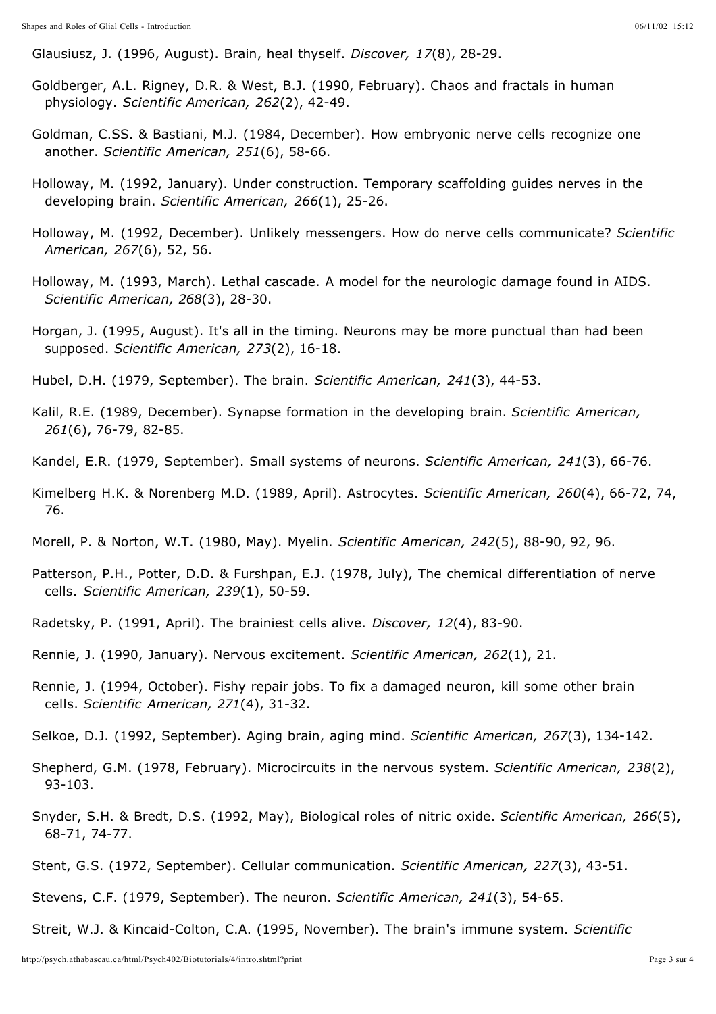Glausiusz, J. (1996, August). Brain, heal thyself. *Discover, 17*(8), 28-29.

- Goldberger, A.L. Rigney, D.R. & West, B.J. (1990, February). Chaos and fractals in human physiology. *Scientific American, 262*(2), 42-49.
- Goldman, C.SS. & Bastiani, M.J. (1984, December). How embryonic nerve cells recognize one another. *Scientific American, 251*(6), 58-66.
- Holloway, M. (1992, January). Under construction. Temporary scaffolding guides nerves in the developing brain. *Scientific American, 266*(1), 25-26.
- Holloway, M. (1992, December). Unlikely messengers. How do nerve cells communicate? *Scientific*  (6), 52, 56. *American, 267*
- Holloway, M. (1993, March). Lethal cascade. A model for the neurologic damage found in AIDS. *Scientific American, 268*(3), 28-30.
- Horgan, J. (1995, August). It's all in the timing. Neurons may be more punctual than had been supposed. *Scientific American, 273*(2), 16-18.
- Hubel, D.H. (1979, September). The brain. *Scientific American, 241*(3), 44-53.
- Kalil, R.E. (1989, December). Synapse formation in the developing brain. *Scientific American,* (6), 76-79, 82-85. *261*
- Kandel, E.R. (1979, September). Small systems of neurons. *Scientific American, 241*(3), 66-76.
- Kimelberg H.K. & Norenberg M.D. (1989, April). Astrocytes. *Scientific American, 260*(4), 66-72, 74, 76.
- Morell, P. & Norton, W.T. (1980, May). Myelin. *Scientific American, 242*(5), 88-90, 92, 96.
- Patterson, P.H., Potter, D.D. & Furshpan, E.J. (1978, July), The chemical differentiation of nerve cells. *Scientific American, 239*(1), 50-59.
- Radetsky, P. (1991, April). The brainiest cells alive. *Discover, 12*(4), 83-90.
- Rennie, J. (1990, January). Nervous excitement. *Scientific American, 262*(1), 21.
- Rennie, J. (1994, October). Fishy repair jobs. To fix a damaged neuron, kill some other brain cells. *Scientific American, 271*(4), 31-32.
- Selkoe, D.J. (1992, September). Aging brain, aging mind. *Scientific American, 267*(3), 134-142.
- Shepherd, G.M. (1978, February). Microcircuits in the nervous system. *Scientific American, 238*(2), 93-103.
- Snyder, S.H. & Bredt, D.S. (1992, May), Biological roles of nitric oxide. *Scientific American, 266*(5), 68-71, 74-77.
- Stent, G.S. (1972, September). Cellular communication. *Scientific American, 227*(3), 43-51.
- Stevens, C.F. (1979, September). The neuron. *Scientific American, 241*(3), 54-65.
- Streit, W.J. & Kincaid-Colton, C.A. (1995, November). The brain's immune system. *Scientific*